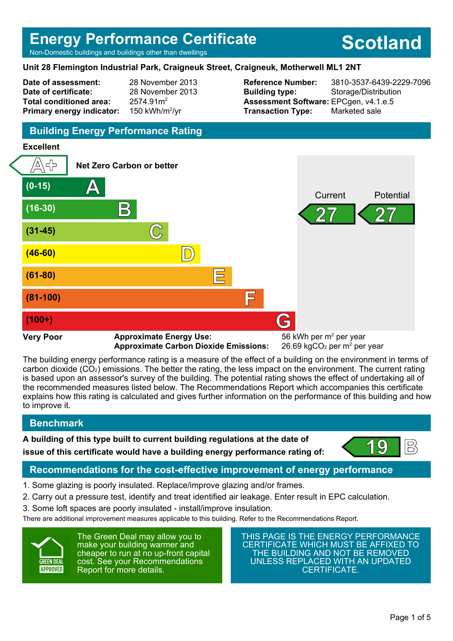# **Energy Performance Certificate**

Non-Domestic buildings and buildings other than dwellings

#### **Unit 28 Flemington Industrial Park, Craigneuk Street, Craigneuk, Motherwell ML1 2NT**

**Date of assessment:** 28 November 2013 **Date of certificate:** 28 November 2013 **Total conditioned area:** 2574.91m<sup>2</sup> **Primary energy indicator:** 

150 kWh/m<sup>2</sup>/vr

**Building type:** Storage/Distribution **Assessment Software:** EPCgen, v4.1.e.5 **Transaction Type:** Marketed sale

**Reference Number:** 3810-3537-6439-2229-7096

**Scotland**

## **Building Energy Performance Rating**

#### **Excellent**



The building energy performance rating is a measure of the effect of a building on the environment in terms of carbon dioxide (CO2) emissions. The better the rating, the less impact on the environment. The current rating is based upon an assessor's survey of the building. The potential rating shows the effect of undertaking all of the recommended measures listed below. The Recommendations Report which accompanies this certificate explains how this rating is calculated and gives further information on the performance of this building and how to improve it.

### **Benchmark**

**A building of this type built to current building regulations at the date of**



# **issue of this certificate would have a building energy performance rating of:**  $\left( \begin{array}{c} 19 \\ \end{array} \right)$

## **Recommendations for the cost-effective improvement of energy performance**

- 1. Some glazing is poorly insulated. Replace/improve glazing and/or frames.
- 2. Carry out a pressure test, identify and treat identified air leakage. Enter result in EPC calculation.
- 3. Some loft spaces are poorly insulated install/improve insulation.

There are additional improvement measures applicable to this building. Refer to the Recommendations Report.



The Green Deal may allow you to make your building warmer and cheaper to run at no up-front capital cost. See your Recommendations Report for more details.

THIS PAGE IS THE ENERGY PERFORMANCE CERTIFICATE WHICH MUST BE AFFIXED TO THE BUILDING AND NOT BE REMOVED UNLESS REPLACED WITH AN UPDATED CERTIFICATE.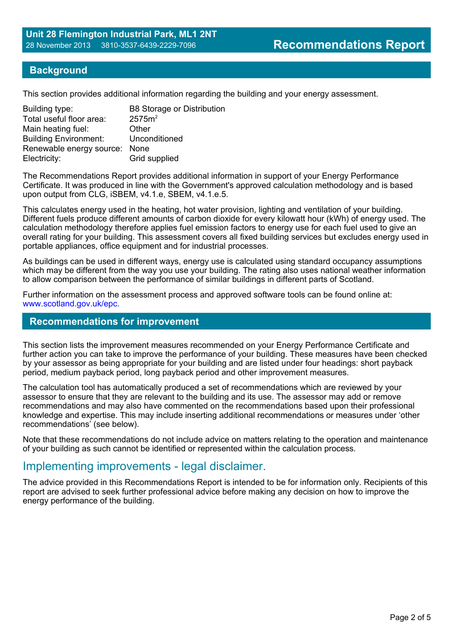### **Background**

This section provides additional information regarding the building and your energy assessment.

| Building type:                | <b>B8 Storage or Distribution</b> |
|-------------------------------|-----------------------------------|
| Total useful floor area:      | 2575m <sup>2</sup>                |
| Main heating fuel:            | Other                             |
| <b>Building Environment:</b>  | Unconditioned                     |
| Renewable energy source: None |                                   |
| Electricity:                  | Grid supplied                     |

The Recommendations Report provides additional information in support of your Energy Performance Certificate. It was produced in line with the Government's approved calculation methodology and is based upon output from CLG, iSBEM, v4.1.e, SBEM, v4.1.e.5.

This calculates energy used in the heating, hot water provision, lighting and ventilation of your building. Different fuels produce different amounts of carbon dioxide for every kilowatt hour (kWh) of energy used. The calculation methodology therefore applies fuel emission factors to energy use for each fuel used to give an overall rating for your building. This assessment covers all fixed building services but excludes energy used in portable appliances, office equipment and for industrial processes.

As buildings can be used in different ways, energy use is calculated using standard occupancy assumptions which may be different from the way you use your building. The rating also uses national weather information to allow comparison between the performance of similar buildings in different parts of Scotland.

Further information on the assessment process and approved software tools can be found online at: www.scotland.gov.uk/epc.

#### **Recommendations for improvement**

This section lists the improvement measures recommended on your Energy Performance Certificate and further action you can take to improve the performance of your building. These measures have been checked by your assessor as being appropriate for your building and are listed under four headings: short payback period, medium payback period, long payback period and other improvement measures.

The calculation tool has automatically produced a set of recommendations which are reviewed by your assessor to ensure that they are relevant to the building and its use. The assessor may add or remove recommendations and may also have commented on the recommendations based upon their professional knowledge and expertise. This may include inserting additional recommendations or measures under 'other recommendations' (see below).

Note that these recommendations do not include advice on matters relating to the operation and maintenance of your building as such cannot be identified or represented within the calculation process.

## Implementing improvements - legal disclaimer.

The advice provided in this Recommendations Report is intended to be for information only. Recipients of this report are advised to seek further professional advice before making any decision on how to improve the energy performance of the building.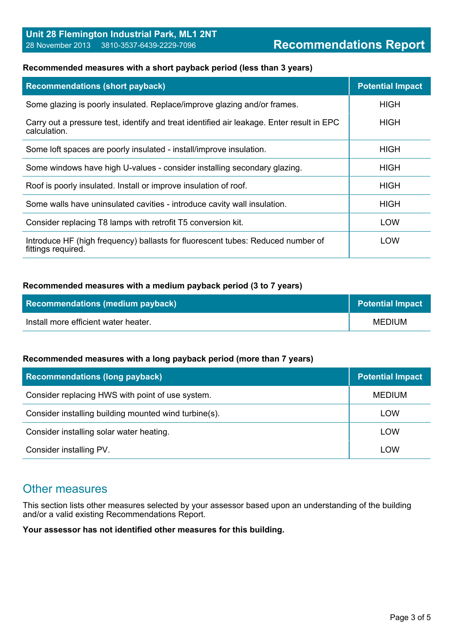#### **Recommended measures with a short payback period (less than 3 years)**

| <b>Recommendations (short payback)</b>                                                                    | <b>Potential Impact</b> |
|-----------------------------------------------------------------------------------------------------------|-------------------------|
| Some glazing is poorly insulated. Replace/improve glazing and/or frames.                                  | <b>HIGH</b>             |
| Carry out a pressure test, identify and treat identified air leakage. Enter result in EPC<br>calculation. | <b>HIGH</b>             |
| Some loft spaces are poorly insulated - install/improve insulation.                                       | <b>HIGH</b>             |
| Some windows have high U-values - consider installing secondary glazing.                                  | <b>HIGH</b>             |
| Roof is poorly insulated. Install or improve insulation of roof.                                          | <b>HIGH</b>             |
| Some walls have uninsulated cavities - introduce cavity wall insulation.                                  | <b>HIGH</b>             |
| Consider replacing T8 lamps with retrofit T5 conversion kit.                                              | LOW                     |
| Introduce HF (high frequency) ballasts for fluorescent tubes: Reduced number of<br>fittings required.     | LOW                     |

#### **Recommended measures with a medium payback period (3 to 7 years)**

| <b>Recommendations (medium payback)</b> | <b>Potential Impact</b> |
|-----------------------------------------|-------------------------|
| Install more efficient water heater.    | MEDIUM                  |

#### **Recommended measures with a long payback period (more than 7 years)**

| <b>Recommendations (long payback)</b>                 | <b>Potential Impact</b> |
|-------------------------------------------------------|-------------------------|
| Consider replacing HWS with point of use system.      | <b>MEDIUM</b>           |
| Consider installing building mounted wind turbine(s). | LOW                     |
| Consider installing solar water heating.              | LOW                     |
| Consider installing PV.                               | LOW                     |

## Other measures

This section lists other measures selected by your assessor based upon an understanding of the building and/or a valid existing Recommendations Report.

**Your assessor has not identified other measures for this building.**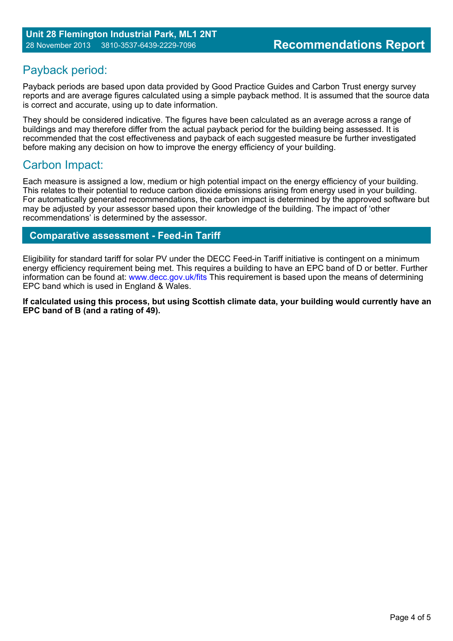# Payback period:

Payback periods are based upon data provided by Good Practice Guides and Carbon Trust energy survey reports and are average figures calculated using a simple payback method. It is assumed that the source data is correct and accurate, using up to date information.

They should be considered indicative. The figures have been calculated as an average across a range of buildings and may therefore differ from the actual payback period for the building being assessed. It is recommended that the cost effectiveness and payback of each suggested measure be further investigated before making any decision on how to improve the energy efficiency of your building.

## Carbon Impact:

Each measure is assigned a low, medium or high potential impact on the energy efficiency of your building. This relates to their potential to reduce carbon dioxide emissions arising from energy used in your building. For automatically generated recommendations, the carbon impact is determined by the approved software but may be adjusted by your assessor based upon their knowledge of the building. The impact of 'other recommendations' is determined by the assessor.

## **Comparative assessment - Feed-in Tariff**

Eligibility for standard tariff for solar PV under the DECC Feed-in Tariff initiative is contingent on a minimum energy efficiency requirement being met. This requires a building to have an EPC band of D or better. Further information can be found at: www.decc.gov.uk/fits This requirement is based upon the means of determining EPC band which is used in England & Wales.

**If calculated using this process, but using Scottish climate data, your building would currently have an EPC band of B (and a rating of 49).**